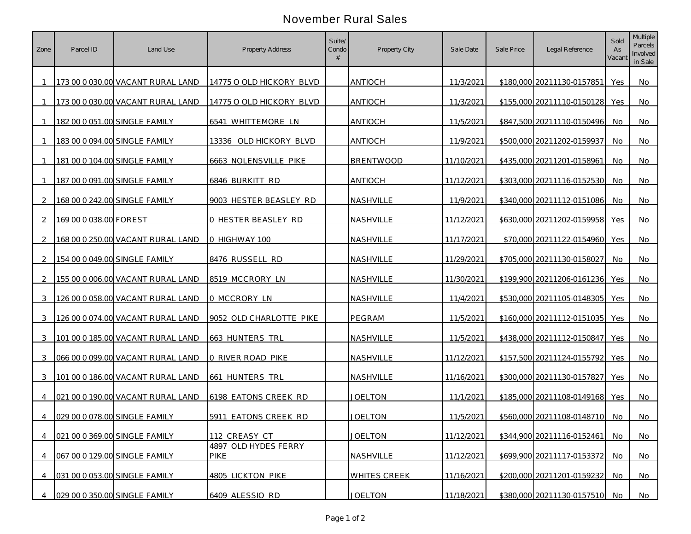## November Rural Sales

| Zone           | Parcel ID              | Land Use                          | Property Address                    | Suite/<br>Condo | Property City    | Sale Date  | Sale Price | Legal Reference               | Sold<br>As<br>Vacan | Multiple<br>Parcels<br>Involved<br>in Sale |
|----------------|------------------------|-----------------------------------|-------------------------------------|-----------------|------------------|------------|------------|-------------------------------|---------------------|--------------------------------------------|
|                |                        | 173 00 0 030.00 VACANT RURAL LAND | 14775 O OLD HICKORY BLVD            |                 | <b>ANTIOCH</b>   | 11/3/2021  |            | \$180,000 20211130-0157851    | Yes                 | No.                                        |
| $\overline{1}$ |                        | 173 00 0 030.00 VACANT RURAL LAND | 14775 O OLD HICKORY BLVD            |                 | <b>ANTIOCH</b>   | 11/3/2021  |            | \$155,000 20211110-0150128    | Yes                 | No.                                        |
|                |                        | 182 00 0 051.00 SINGLE FAMILY     | 6541 WHITTEMORE LN                  |                 | <b>ANTIOCH</b>   | 11/5/2021  |            | \$847,500 20211110-0150496    | No                  | No                                         |
|                |                        | 183 00 0 094 00 SINGLE FAMILY     | 13336 OLD HICKORY BLVD              |                 | <b>ANTIOCH</b>   | 11/9/2021  |            | \$500,000 20211202-0159937    | No.                 | No.                                        |
|                |                        | 181 00 0 104.00 SINGLE FAMILY     | 6663 NOLENSVILLE PIKE               |                 | <b>BRENTWOOD</b> | 11/10/2021 |            | \$435,000 20211201-0158961    | No                  | No.                                        |
| -1             |                        | 187 00 0 091.00 SINGLE FAMILY     | 6846 BURKITT RD                     |                 | <b>ANTIOCH</b>   | 11/12/2021 |            | \$303,000 20211116-0152530    | No.                 | No.                                        |
| $\mathcal{L}$  |                        | 168 00 0 242.00 SINGLE FAMILY     | 9003 HESTER BEASLEY RD              |                 | NASHVILLE        | 11/9/2021  |            | \$340,000 20211112-0151086    | No.                 | No                                         |
| 2              | 169 00 0 038.00 FOREST |                                   | 0 HESTER BEASLEY RD                 |                 | NASHVILLE        | 11/12/2021 |            | \$630,000 20211202-0159958    | Yes                 | No                                         |
| $\mathcal{D}$  |                        | 168 00 0 250.00 VACANT RURAL LAND | 0 HIGHWAY 100                       |                 | NASHVILLE        | 11/17/2021 |            | \$70,000 20211122-0154960     | Yes                 | No.                                        |
| $\mathcal{D}$  |                        | 154 00 0 049.00 SINGLE FAMILY     | 8476 RUSSELL RD                     |                 | NASHVILLE        | 11/29/2021 |            | \$705,000 20211130-0158027    | No.                 | No.                                        |
| $\mathcal{L}$  |                        | 155 00 0 006.00 VACANT RURAL LAND | 8519 MCCRORY LN                     |                 | NASHVILLE        | 11/30/2021 |            | \$199,900 20211206-0161236    | Yes                 | No                                         |
| 3              |                        | 126 00 0 058.00 VACANT RURAL LAND | 0 MCCRORY LN                        |                 | NASHVILLE        | 11/4/2021  |            | \$530,000 20211105-0148305    | Yes                 | No.                                        |
| 3              |                        | 126 00 0 074.00 VACANT RURAL LAND | 9052 OLD CHARLOTTE PIKE             |                 | PEGRAM           | 11/5/2021  |            | \$160,000 20211112-0151035    | Yes                 | No.                                        |
| 3              |                        | 101 00 0 185.00 VACANT RURAL LAND | 663 HUNTERS TRL                     |                 | NASHVILLE        | 11/5/2021  |            | \$438,000 20211112-0150847    | Yes                 | No.                                        |
| 3              |                        | 066 00 0 099.00 VACANT RURAL LAND | 0 RIVER ROAD PIKE                   |                 | NASHVILLE        | 11/12/2021 |            | \$157,500 20211124-0155792    | Yes                 | No                                         |
| 3              |                        | 101 00 0 186.00 VACANT RURAL LAND | 661 HUNTERS TRL                     |                 | NASHVILLE        | 11/16/2021 |            | \$300,000 20211130-0157827    | Yes                 | No                                         |
|                |                        | 021 00 0 190.00 VACANT RURAL LAND | 6198 EATONS CREEK RD                |                 | <u>JOELTON</u>   | 11/1/2021  |            | \$185,000 20211108-0149168    | Yes                 | No                                         |
|                |                        | 029 00 0 078.00 SINGLE FAMILY     | 5911 EATONS CREEK RD                |                 | <b>JOELTON</b>   | 11/5/2021  |            | \$560,000 20211108-0148710    | No.                 | No.                                        |
| $\overline{4}$ |                        | 021 00 0 369.00 SINGLE FAMILY     | 112 CREASY CT                       |                 | <b>JOELTON</b>   | 11/12/2021 |            | \$344,900 20211116-0152461 No |                     | No                                         |
| 4              |                        | 067 00 0 129.00 SINGLE FAMILY     | 4897 OLD HYDES FERRY<br><b>PIKE</b> |                 | NASHVILLE        | 11/12/2021 |            | \$699,900 20211117-0153372    | No                  | <b>No</b>                                  |
| 4              |                        | 031 00 0 053.00 SINGLE FAMILY     | 4805 LICKTON PIKE                   |                 | WHITES CREEK     | 11/16/2021 |            | \$200,000 20211201-0159232    | No                  | No                                         |
| 4              |                        | 029 00 0 350.00 SINGLE FAMILY     | 6409 ALESSIO RD                     |                 | <b>JOELTON</b>   | 11/18/2021 |            | \$380,000 20211130-0157510 No |                     | No                                         |